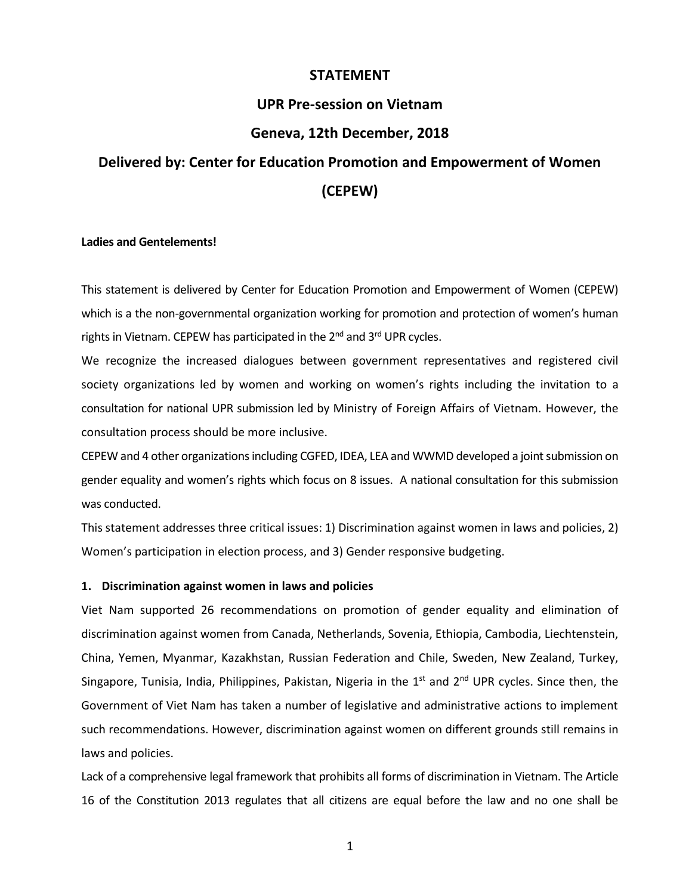## **STATEMENT**

## **UPR Pre-session on Vietnam**

# **Geneva, 12th December, 2018**

# **Delivered by: Center for Education Promotion and Empowerment of Women (CEPEW)**

### **Ladies and Gentelements!**

This statement is delivered by Center for Education Promotion and Empowerment of Women (CEPEW) which is a the non-governmental organization working for promotion and protection of women's human rights in Vietnam. CEPEW has participated in the 2<sup>nd</sup> and 3<sup>rd</sup> UPR cycles.

We recognize the increased dialogues between government representatives and registered civil society organizations led by women and working on women's rights including the invitation to a consultation for national UPR submission led by Ministry of Foreign Affairs of Vietnam. However, the consultation process should be more inclusive.

CEPEW and 4 other organizations including CGFED, IDEA, LEA and WWMD developed a joint submission on gender equality and women's rights which focus on 8 issues. A national consultation for this submission was conducted.

This statement addresses three critical issues: 1) Discrimination against women in laws and policies, 2) Women's participation in election process, and 3) Gender responsive budgeting.

### **1. Discrimination against women in laws and policies**

Viet Nam supported 26 recommendations on promotion of gender equality and elimination of discrimination against women from Canada, Netherlands, Sovenia, Ethiopia, Cambodia, Liechtenstein, China, Yemen, Myanmar, Kazakhstan, Russian Federation and Chile, Sweden, New Zealand, Turkey, Singapore, Tunisia, India, Philippines, Pakistan, Nigeria in the  $1<sup>st</sup>$  and  $2<sup>nd</sup>$  UPR cycles. Since then, the Government of Viet Nam has taken a number of legislative and administrative actions to implement such recommendations. However, discrimination against women on different grounds still remains in laws and policies.

Lack of a comprehensive legal framework that prohibits all forms of discrimination in Vietnam. The Article 16 of the Constitution 2013 regulates that all citizens are equal before the law and no one shall be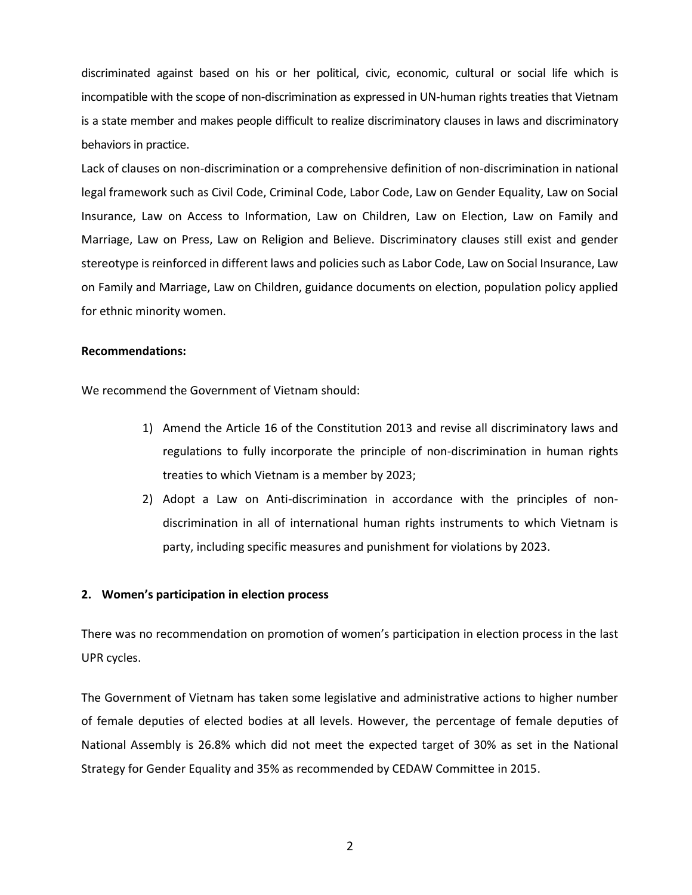discriminated against based on his or her political, civic, economic, cultural or social life which is incompatible with the scope of non-discrimination as expressed in UN-human rights treaties that Vietnam is a state member and makes people difficult to realize discriminatory clauses in laws and discriminatory behaviors in practice.

Lack of clauses on non-discrimination or a comprehensive definition of non-discrimination in national legal framework such as Civil Code, Criminal Code, Labor Code, Law on Gender Equality, Law on Social Insurance, Law on Access to Information, Law on Children, Law on Election, Law on Family and Marriage, Law on Press, Law on Religion and Believe. Discriminatory clauses still exist and gender stereotype is reinforced in different laws and policies such as Labor Code, Law on Social Insurance, Law on Family and Marriage, Law on Children, guidance documents on election, population policy applied for ethnic minority women.

## **Recommendations:**

We recommend the Government of Vietnam should:

- 1) Amend the Article 16 of the Constitution 2013 and revise all discriminatory laws and regulations to fully incorporate the principle of non-discrimination in human rights treaties to which Vietnam is a member by 2023;
- 2) Adopt a Law on Anti-discrimination in accordance with the principles of nondiscrimination in all of international human rights instruments to which Vietnam is party, including specific measures and punishment for violations by 2023.

#### **2. Women's participation in election process**

There was no recommendation on promotion of women's participation in election process in the last UPR cycles.

The Government of Vietnam has taken some legislative and administrative actions to higher number of female deputies of elected bodies at all levels. However, the percentage of female deputies of National Assembly is 26.8% which did not meet the expected target of 30% as set in the National Strategy for Gender Equality and 35% as recommended by CEDAW Committee in 2015.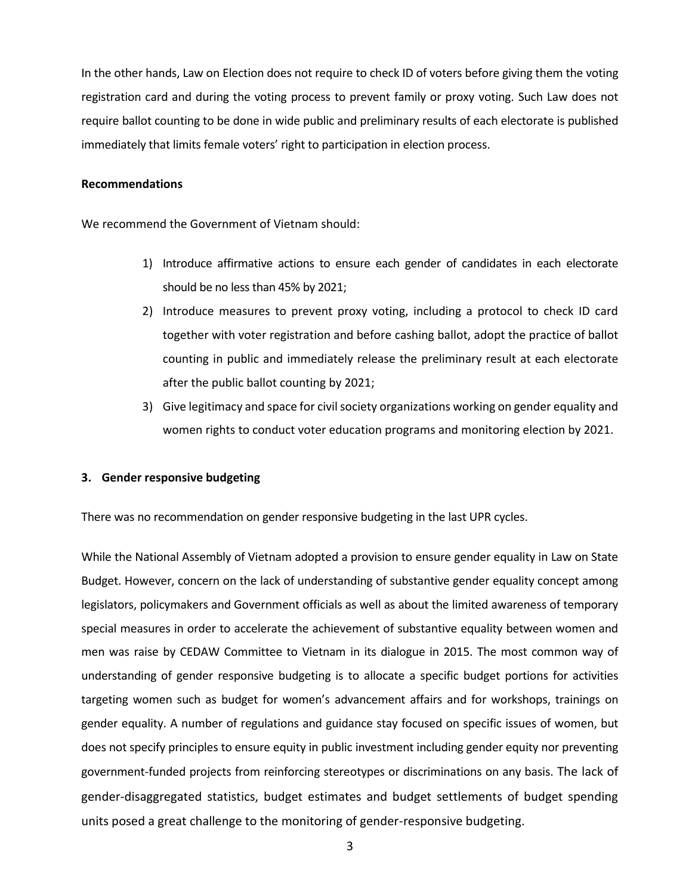In the other hands, Law on Election does not require to check ID of voters before giving them the voting registration card and during the voting process to prevent family or proxy voting. Such Law does not require ballot counting to be done in wide public and preliminary results of each electorate is published immediately that limits female voters' right to participation in election process.

### **Recommendations**

We recommend the Government of Vietnam should:

- 1) Introduce affirmative actions to ensure each gender of candidates in each electorate should be no less than 45% by 2021;
- 2) Introduce measures to prevent proxy voting, including a protocol to check ID card together with voter registration and before cashing ballot, adopt the practice of ballot counting in public and immediately release the preliminary result at each electorate after the public ballot counting by 2021;
- 3) Give legitimacy and space for civil society organizations working on gender equality and women rights to conduct voter education programs and monitoring election by 2021.

## **3. Gender responsive budgeting**

There was no recommendation on gender responsive budgeting in the last UPR cycles.

While the National Assembly of Vietnam adopted a provision to ensure gender equality in Law on State Budget. However, concern on the lack of understanding of substantive gender equality concept among legislators, policymakers and Government officials as well as about the limited awareness of temporary special measures in order to accelerate the achievement of substantive equality between women and men was raise by CEDAW Committee to Vietnam in its dialogue in 2015. The most common way of understanding of gender responsive budgeting is to allocate a specific budget portions for activities targeting women such as budget for women's advancement affairs and for workshops, trainings on gender equality. A number of regulations and guidance stay focused on specific issues of women, but does not specify principles to ensure equity in public investment including gender equity nor preventing government-funded projects from reinforcing stereotypes or discriminations on any basis. The lack of gender-disaggregated statistics, budget estimates and budget settlements of budget spending units posed a great challenge to the monitoring of gender-responsive budgeting.